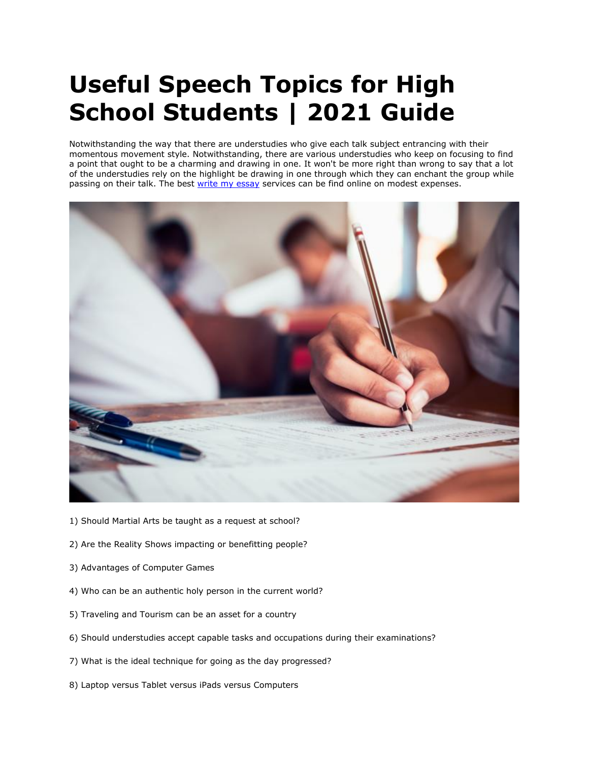## **Useful Speech Topics for High School Students | 2021 Guide**

Notwithstanding the way that there are understudies who give each talk subject entrancing with their momentous movement style. Notwithstanding, there are various understudies who keep on focusing to find a point that ought to be a charming and drawing in one. It won't be more right than wrong to say that a lot of the understudies rely on the highlight be drawing in one through which they can enchant the group while passing on their talk. The best [write my essay](https://www.5staressays.com/) services can be find online on modest expenses.



- 1) Should Martial Arts be taught as a request at school?
- 2) Are the Reality Shows impacting or benefitting people?
- 3) Advantages of Computer Games
- 4) Who can be an authentic holy person in the current world?
- 5) Traveling and Tourism can be an asset for a country
- 6) Should understudies accept capable tasks and occupations during their examinations?
- 7) What is the ideal technique for going as the day progressed?
- 8) Laptop versus Tablet versus iPads versus Computers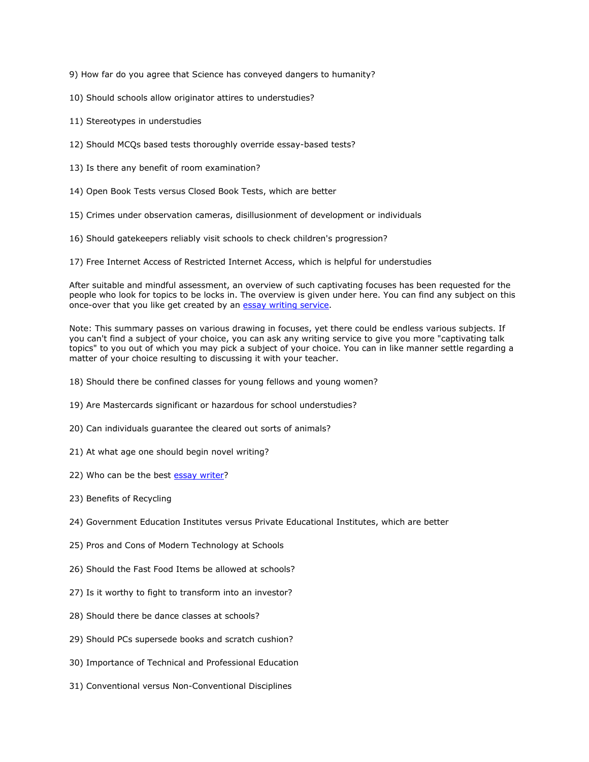9) How far do you agree that Science has conveyed dangers to humanity?

10) Should schools allow originator attires to understudies?

- 11) Stereotypes in understudies
- 12) Should MCQs based tests thoroughly override essay-based tests?
- 13) Is there any benefit of room examination?
- 14) Open Book Tests versus Closed Book Tests, which are better
- 15) Crimes under observation cameras, disillusionment of development or individuals
- 16) Should gatekeepers reliably visit schools to check children's progression?
- 17) Free Internet Access of Restricted Internet Access, which is helpful for understudies

After suitable and mindful assessment, an overview of such captivating focuses has been requested for the people who look for topics to be locks in. The overview is given under here. You can find any subject on this once-over that you like get created by an [essay writing service.](https://www.5staressays.com/)

Note: This summary passes on various drawing in focuses, yet there could be endless various subjects. If you can't find a subject of your choice, you can ask any writing service to give you more "captivating talk topics" to you out of which you may pick a subject of your choice. You can in like manner settle regarding a matter of your choice resulting to discussing it with your teacher.

- 18) Should there be confined classes for young fellows and young women?
- 19) Are Mastercards significant or hazardous for school understudies?
- 20) Can individuals guarantee the cleared out sorts of animals?
- 21) At what age one should begin novel writing?
- 22) Who can be the best [essay writer?](https://www.5staressays.com/essay-writer)
- 23) Benefits of Recycling
- 24) Government Education Institutes versus Private Educational Institutes, which are better
- 25) Pros and Cons of Modern Technology at Schools
- 26) Should the Fast Food Items be allowed at schools?
- 27) Is it worthy to fight to transform into an investor?
- 28) Should there be dance classes at schools?
- 29) Should PCs supersede books and scratch cushion?
- 30) Importance of Technical and Professional Education
- 31) Conventional versus Non-Conventional Disciplines